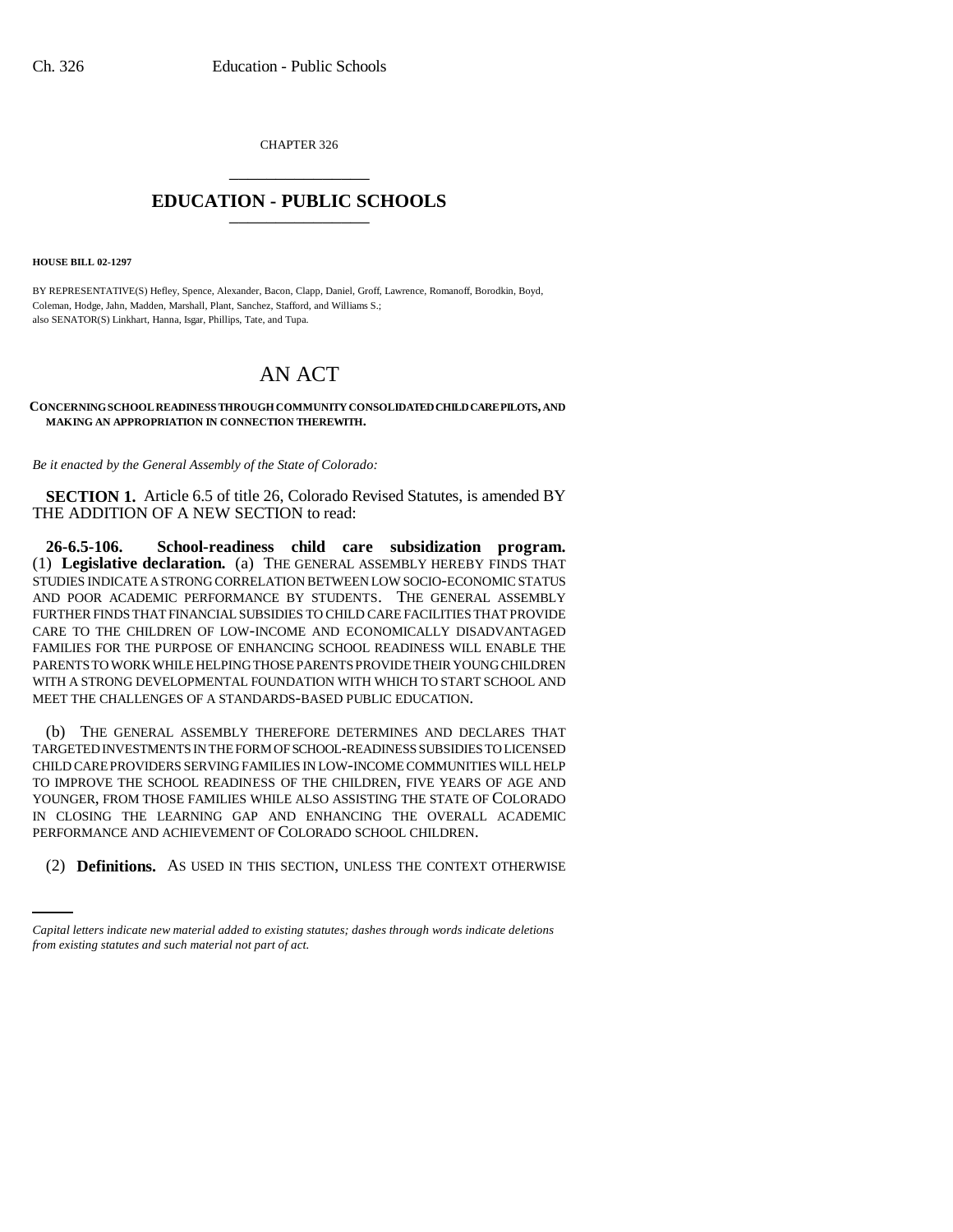CHAPTER 326 \_\_\_\_\_\_\_\_\_\_\_\_\_\_\_

## **EDUCATION - PUBLIC SCHOOLS** \_\_\_\_\_\_\_\_\_\_\_\_\_\_\_

**HOUSE BILL 02-1297**

BY REPRESENTATIVE(S) Hefley, Spence, Alexander, Bacon, Clapp, Daniel, Groff, Lawrence, Romanoff, Borodkin, Boyd, Coleman, Hodge, Jahn, Madden, Marshall, Plant, Sanchez, Stafford, and Williams S.; also SENATOR(S) Linkhart, Hanna, Isgar, Phillips, Tate, and Tupa.

# AN ACT

#### **CONCERNING SCHOOL READINESS THROUGH COMMUNITY CONSOLIDATED CHILD CARE PILOTS, AND MAKING AN APPROPRIATION IN CONNECTION THEREWITH.**

*Be it enacted by the General Assembly of the State of Colorado:*

**SECTION 1.** Article 6.5 of title 26, Colorado Revised Statutes, is amended BY THE ADDITION OF A NEW SECTION to read:

**26-6.5-106. School-readiness child care subsidization program.** (1) **Legislative declaration.** (a) THE GENERAL ASSEMBLY HEREBY FINDS THAT STUDIES INDICATE A STRONG CORRELATION BETWEEN LOW SOCIO-ECONOMIC STATUS AND POOR ACADEMIC PERFORMANCE BY STUDENTS. THE GENERAL ASSEMBLY FURTHER FINDS THAT FINANCIAL SUBSIDIES TO CHILD CARE FACILITIES THAT PROVIDE CARE TO THE CHILDREN OF LOW-INCOME AND ECONOMICALLY DISADVANTAGED FAMILIES FOR THE PURPOSE OF ENHANCING SCHOOL READINESS WILL ENABLE THE PARENTS TO WORK WHILE HELPING THOSE PARENTS PROVIDE THEIR YOUNG CHILDREN WITH A STRONG DEVELOPMENTAL FOUNDATION WITH WHICH TO START SCHOOL AND MEET THE CHALLENGES OF A STANDARDS-BASED PUBLIC EDUCATION.

PERFORMANCE AND ACHIEVEMENT OF COLORADO SCHOOL CHILDREN. (b) THE GENERAL ASSEMBLY THEREFORE DETERMINES AND DECLARES THAT TARGETED INVESTMENTS IN THE FORM OF SCHOOL-READINESS SUBSIDIES TO LICENSED CHILD CARE PROVIDERS SERVING FAMILIES IN LOW-INCOME COMMUNITIES WILL HELP TO IMPROVE THE SCHOOL READINESS OF THE CHILDREN, FIVE YEARS OF AGE AND YOUNGER, FROM THOSE FAMILIES WHILE ALSO ASSISTING THE STATE OF COLORADO IN CLOSING THE LEARNING GAP AND ENHANCING THE OVERALL ACADEMIC

(2) **Definitions.** AS USED IN THIS SECTION, UNLESS THE CONTEXT OTHERWISE

*Capital letters indicate new material added to existing statutes; dashes through words indicate deletions from existing statutes and such material not part of act.*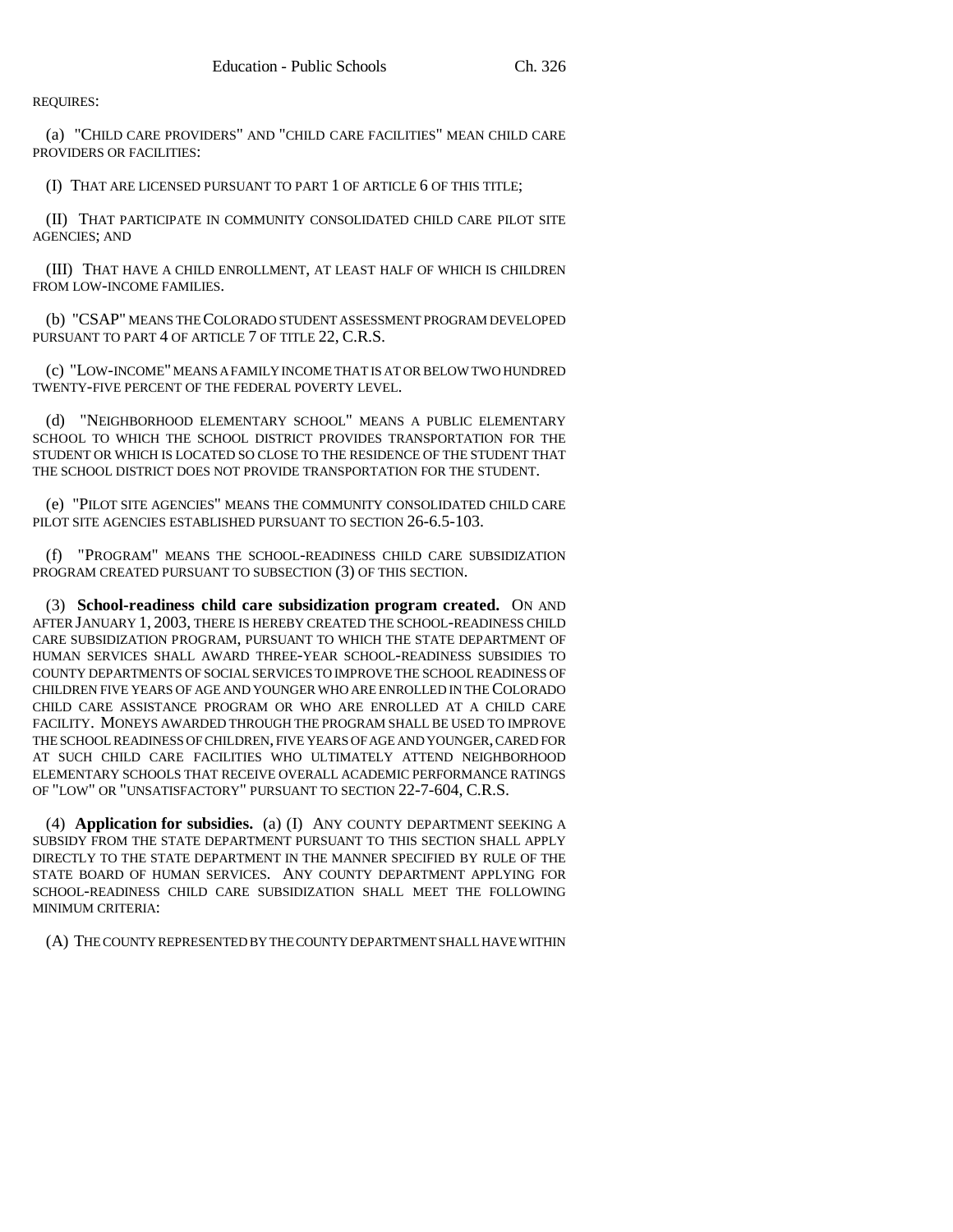REQUIRES:

(a) "CHILD CARE PROVIDERS" AND "CHILD CARE FACILITIES" MEAN CHILD CARE PROVIDERS OR FACILITIES:

(I) THAT ARE LICENSED PURSUANT TO PART 1 OF ARTICLE 6 OF THIS TITLE;

(II) THAT PARTICIPATE IN COMMUNITY CONSOLIDATED CHILD CARE PILOT SITE AGENCIES; AND

(III) THAT HAVE A CHILD ENROLLMENT, AT LEAST HALF OF WHICH IS CHILDREN FROM LOW-INCOME FAMILIES.

(b) "CSAP" MEANS THE COLORADO STUDENT ASSESSMENT PROGRAM DEVELOPED PURSUANT TO PART 4 OF ARTICLE 7 OF TITLE 22, C.R.S.

(c) "LOW-INCOME" MEANS A FAMILY INCOME THAT IS AT OR BELOW TWO HUNDRED TWENTY-FIVE PERCENT OF THE FEDERAL POVERTY LEVEL.

(d) "NEIGHBORHOOD ELEMENTARY SCHOOL" MEANS A PUBLIC ELEMENTARY SCHOOL TO WHICH THE SCHOOL DISTRICT PROVIDES TRANSPORTATION FOR THE STUDENT OR WHICH IS LOCATED SO CLOSE TO THE RESIDENCE OF THE STUDENT THAT THE SCHOOL DISTRICT DOES NOT PROVIDE TRANSPORTATION FOR THE STUDENT.

(e) "PILOT SITE AGENCIES" MEANS THE COMMUNITY CONSOLIDATED CHILD CARE PILOT SITE AGENCIES ESTABLISHED PURSUANT TO SECTION 26-6.5-103.

(f) "PROGRAM" MEANS THE SCHOOL-READINESS CHILD CARE SUBSIDIZATION PROGRAM CREATED PURSUANT TO SUBSECTION (3) OF THIS SECTION.

(3) **School-readiness child care subsidization program created.** ON AND AFTER JANUARY 1, 2003, THERE IS HEREBY CREATED THE SCHOOL-READINESS CHILD CARE SUBSIDIZATION PROGRAM, PURSUANT TO WHICH THE STATE DEPARTMENT OF HUMAN SERVICES SHALL AWARD THREE-YEAR SCHOOL-READINESS SUBSIDIES TO COUNTY DEPARTMENTS OF SOCIAL SERVICES TO IMPROVE THE SCHOOL READINESS OF CHILDREN FIVE YEARS OF AGE AND YOUNGER WHO ARE ENROLLED IN THE COLORADO CHILD CARE ASSISTANCE PROGRAM OR WHO ARE ENROLLED AT A CHILD CARE FACILITY. MONEYS AWARDED THROUGH THE PROGRAM SHALL BE USED TO IMPROVE THE SCHOOL READINESS OF CHILDREN, FIVE YEARS OF AGE AND YOUNGER, CARED FOR AT SUCH CHILD CARE FACILITIES WHO ULTIMATELY ATTEND NEIGHBORHOOD ELEMENTARY SCHOOLS THAT RECEIVE OVERALL ACADEMIC PERFORMANCE RATINGS OF "LOW" OR "UNSATISFACTORY" PURSUANT TO SECTION 22-7-604, C.R.S.

(4) **Application for subsidies.** (a) (I) ANY COUNTY DEPARTMENT SEEKING A SUBSIDY FROM THE STATE DEPARTMENT PURSUANT TO THIS SECTION SHALL APPLY DIRECTLY TO THE STATE DEPARTMENT IN THE MANNER SPECIFIED BY RULE OF THE STATE BOARD OF HUMAN SERVICES. ANY COUNTY DEPARTMENT APPLYING FOR SCHOOL-READINESS CHILD CARE SUBSIDIZATION SHALL MEET THE FOLLOWING MINIMUM CRITERIA:

(A) THE COUNTY REPRESENTED BY THE COUNTY DEPARTMENT SHALL HAVE WITHIN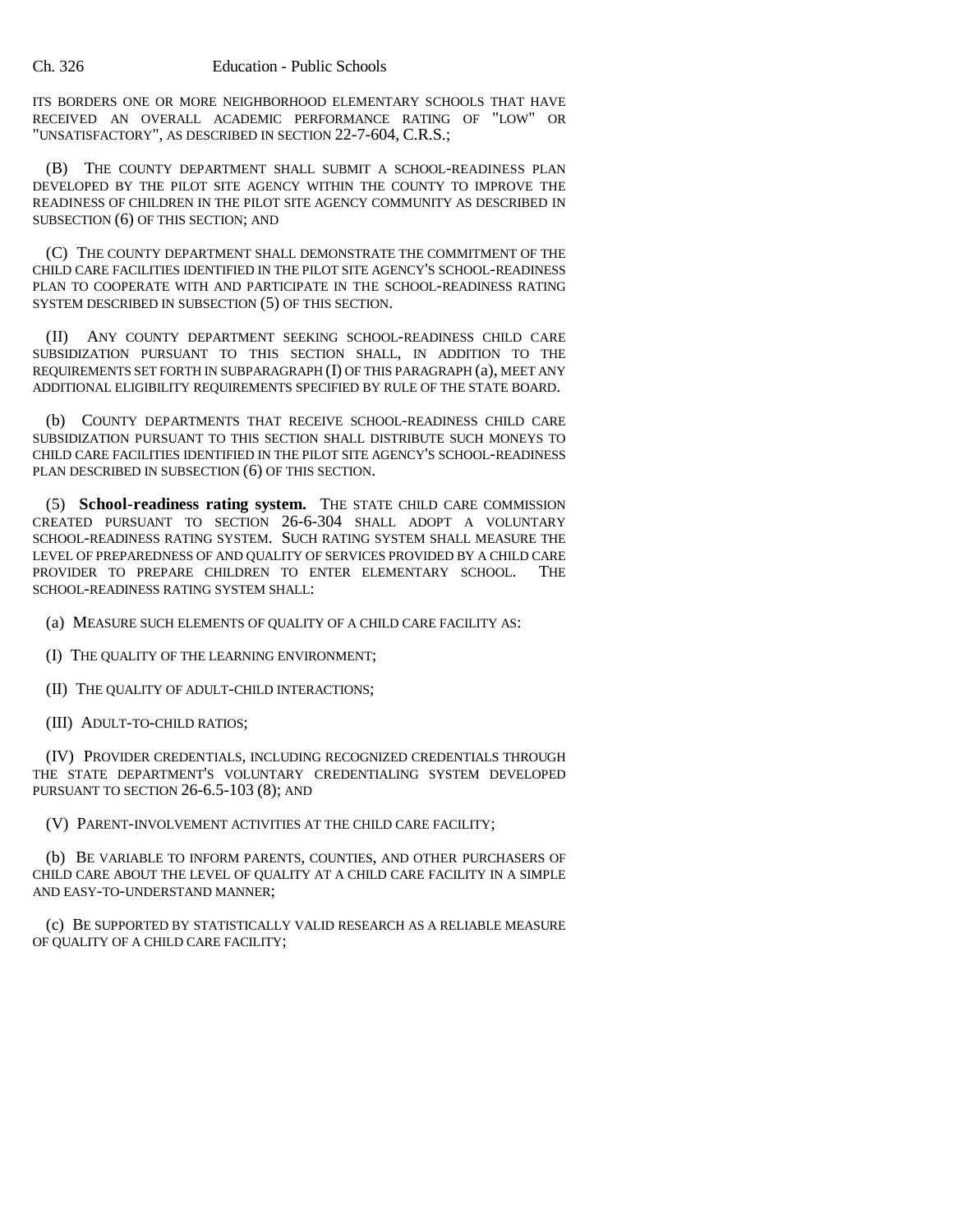ITS BORDERS ONE OR MORE NEIGHBORHOOD ELEMENTARY SCHOOLS THAT HAVE RECEIVED AN OVERALL ACADEMIC PERFORMANCE RATING OF "LOW" OR "UNSATISFACTORY", AS DESCRIBED IN SECTION 22-7-604, C.R.S.;

(B) THE COUNTY DEPARTMENT SHALL SUBMIT A SCHOOL-READINESS PLAN DEVELOPED BY THE PILOT SITE AGENCY WITHIN THE COUNTY TO IMPROVE THE READINESS OF CHILDREN IN THE PILOT SITE AGENCY COMMUNITY AS DESCRIBED IN SUBSECTION (6) OF THIS SECTION; AND

(C) THE COUNTY DEPARTMENT SHALL DEMONSTRATE THE COMMITMENT OF THE CHILD CARE FACILITIES IDENTIFIED IN THE PILOT SITE AGENCY'S SCHOOL-READINESS PLAN TO COOPERATE WITH AND PARTICIPATE IN THE SCHOOL-READINESS RATING SYSTEM DESCRIBED IN SUBSECTION (5) OF THIS SECTION.

(II) ANY COUNTY DEPARTMENT SEEKING SCHOOL-READINESS CHILD CARE SUBSIDIZATION PURSUANT TO THIS SECTION SHALL, IN ADDITION TO THE REQUIREMENTS SET FORTH IN SUBPARAGRAPH (I) OF THIS PARAGRAPH (a), MEET ANY ADDITIONAL ELIGIBILITY REQUIREMENTS SPECIFIED BY RULE OF THE STATE BOARD.

(b) COUNTY DEPARTMENTS THAT RECEIVE SCHOOL-READINESS CHILD CARE SUBSIDIZATION PURSUANT TO THIS SECTION SHALL DISTRIBUTE SUCH MONEYS TO CHILD CARE FACILITIES IDENTIFIED IN THE PILOT SITE AGENCY'S SCHOOL-READINESS PLAN DESCRIBED IN SUBSECTION (6) OF THIS SECTION.

(5) **School-readiness rating system.** THE STATE CHILD CARE COMMISSION CREATED PURSUANT TO SECTION 26-6-304 SHALL ADOPT A VOLUNTARY SCHOOL-READINESS RATING SYSTEM. SUCH RATING SYSTEM SHALL MEASURE THE LEVEL OF PREPAREDNESS OF AND QUALITY OF SERVICES PROVIDED BY A CHILD CARE PROVIDER TO PREPARE CHILDREN TO ENTER ELEMENTARY SCHOOL. THE SCHOOL-READINESS RATING SYSTEM SHALL:

- (a) MEASURE SUCH ELEMENTS OF QUALITY OF A CHILD CARE FACILITY AS:
- (I) THE QUALITY OF THE LEARNING ENVIRONMENT;
- (II) THE QUALITY OF ADULT-CHILD INTERACTIONS;
- (III) ADULT-TO-CHILD RATIOS;

(IV) PROVIDER CREDENTIALS, INCLUDING RECOGNIZED CREDENTIALS THROUGH THE STATE DEPARTMENT'S VOLUNTARY CREDENTIALING SYSTEM DEVELOPED PURSUANT TO SECTION 26-6.5-103 (8); AND

(V) PARENT-INVOLVEMENT ACTIVITIES AT THE CHILD CARE FACILITY;

(b) BE VARIABLE TO INFORM PARENTS, COUNTIES, AND OTHER PURCHASERS OF CHILD CARE ABOUT THE LEVEL OF QUALITY AT A CHILD CARE FACILITY IN A SIMPLE AND EASY-TO-UNDERSTAND MANNER;

(c) BE SUPPORTED BY STATISTICALLY VALID RESEARCH AS A RELIABLE MEASURE OF QUALITY OF A CHILD CARE FACILITY;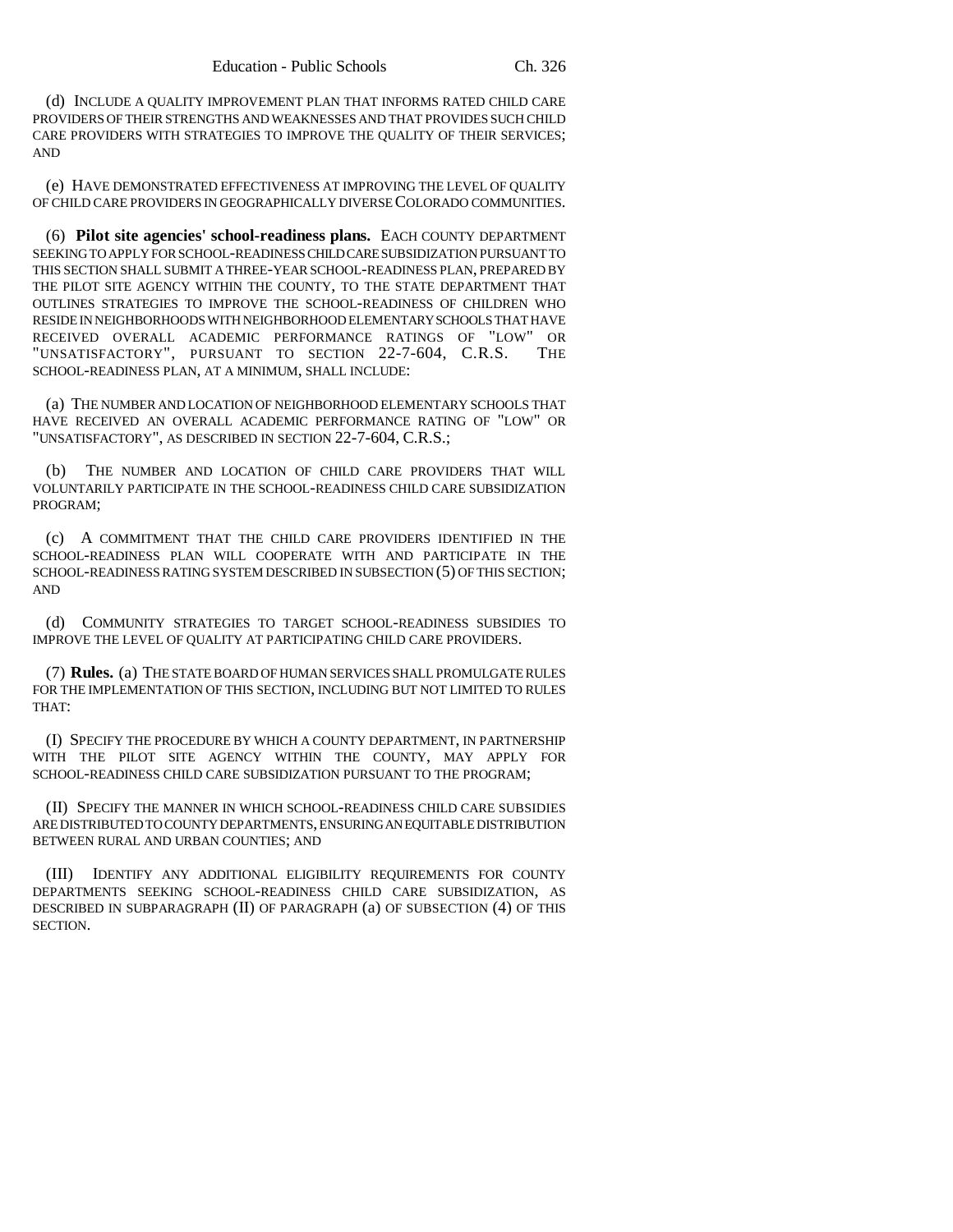(d) INCLUDE A QUALITY IMPROVEMENT PLAN THAT INFORMS RATED CHILD CARE PROVIDERS OF THEIR STRENGTHS AND WEAKNESSES AND THAT PROVIDES SUCH CHILD CARE PROVIDERS WITH STRATEGIES TO IMPROVE THE QUALITY OF THEIR SERVICES; AND

(e) HAVE DEMONSTRATED EFFECTIVENESS AT IMPROVING THE LEVEL OF QUALITY OF CHILD CARE PROVIDERS IN GEOGRAPHICALLY DIVERSE COLORADO COMMUNITIES.

(6) **Pilot site agencies' school-readiness plans.** EACH COUNTY DEPARTMENT SEEKING TO APPLY FOR SCHOOL-READINESS CHILD CARE SUBSIDIZATION PURSUANT TO THIS SECTION SHALL SUBMIT A THREE-YEAR SCHOOL-READINESS PLAN, PREPARED BY THE PILOT SITE AGENCY WITHIN THE COUNTY, TO THE STATE DEPARTMENT THAT OUTLINES STRATEGIES TO IMPROVE THE SCHOOL-READINESS OF CHILDREN WHO RESIDE IN NEIGHBORHOODS WITH NEIGHBORHOOD ELEMENTARY SCHOOLS THAT HAVE RECEIVED OVERALL ACADEMIC PERFORMANCE RATINGS OF "LOW" OR "UNSATISFACTORY", PURSUANT TO SECTION 22-7-604, C.R.S. THE SCHOOL-READINESS PLAN, AT A MINIMUM, SHALL INCLUDE:

(a) THE NUMBER AND LOCATION OF NEIGHBORHOOD ELEMENTARY SCHOOLS THAT HAVE RECEIVED AN OVERALL ACADEMIC PERFORMANCE RATING OF "LOW" OR "UNSATISFACTORY", AS DESCRIBED IN SECTION 22-7-604, C.R.S.;

(b) THE NUMBER AND LOCATION OF CHILD CARE PROVIDERS THAT WILL VOLUNTARILY PARTICIPATE IN THE SCHOOL-READINESS CHILD CARE SUBSIDIZATION PROGRAM;

(c) A COMMITMENT THAT THE CHILD CARE PROVIDERS IDENTIFIED IN THE SCHOOL-READINESS PLAN WILL COOPERATE WITH AND PARTICIPATE IN THE SCHOOL-READINESS RATING SYSTEM DESCRIBED IN SUBSECTION (5) OF THIS SECTION; AND

(d) COMMUNITY STRATEGIES TO TARGET SCHOOL-READINESS SUBSIDIES TO IMPROVE THE LEVEL OF QUALITY AT PARTICIPATING CHILD CARE PROVIDERS.

(7) **Rules.** (a) THE STATE BOARD OF HUMAN SERVICES SHALL PROMULGATE RULES FOR THE IMPLEMENTATION OF THIS SECTION, INCLUDING BUT NOT LIMITED TO RULES THAT:

(I) SPECIFY THE PROCEDURE BY WHICH A COUNTY DEPARTMENT, IN PARTNERSHIP WITH THE PILOT SITE AGENCY WITHIN THE COUNTY, MAY APPLY FOR SCHOOL-READINESS CHILD CARE SUBSIDIZATION PURSUANT TO THE PROGRAM;

(II) SPECIFY THE MANNER IN WHICH SCHOOL-READINESS CHILD CARE SUBSIDIES ARE DISTRIBUTED TO COUNTY DEPARTMENTS, ENSURING AN EQUITABLE DISTRIBUTION BETWEEN RURAL AND URBAN COUNTIES; AND

(III) IDENTIFY ANY ADDITIONAL ELIGIBILITY REQUIREMENTS FOR COUNTY DEPARTMENTS SEEKING SCHOOL-READINESS CHILD CARE SUBSIDIZATION, AS DESCRIBED IN SUBPARAGRAPH (II) OF PARAGRAPH (a) OF SUBSECTION (4) OF THIS SECTION.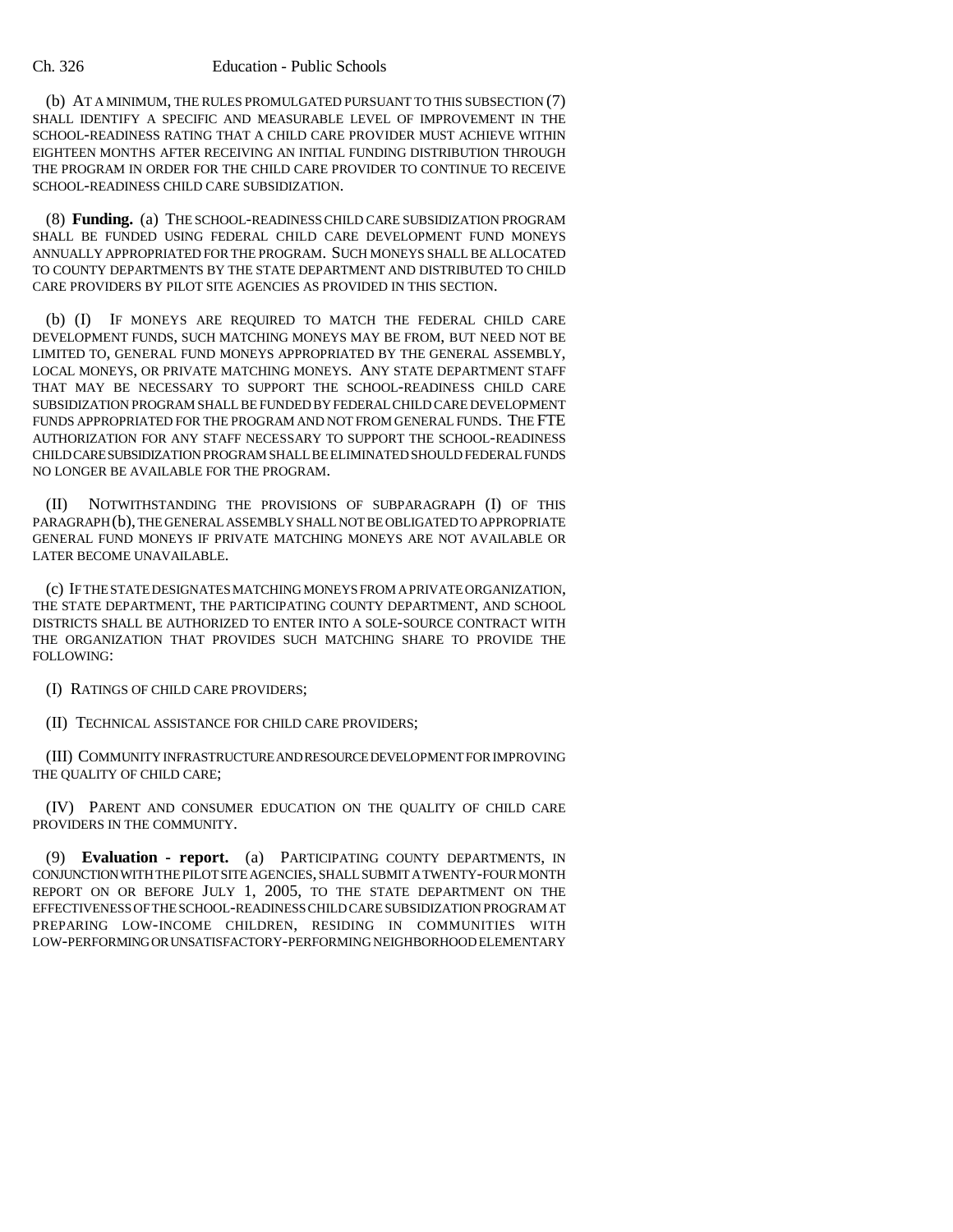#### Ch. 326 Education - Public Schools

(b) AT A MINIMUM, THE RULES PROMULGATED PURSUANT TO THIS SUBSECTION (7) SHALL IDENTIFY A SPECIFIC AND MEASURABLE LEVEL OF IMPROVEMENT IN THE SCHOOL-READINESS RATING THAT A CHILD CARE PROVIDER MUST ACHIEVE WITHIN EIGHTEEN MONTHS AFTER RECEIVING AN INITIAL FUNDING DISTRIBUTION THROUGH THE PROGRAM IN ORDER FOR THE CHILD CARE PROVIDER TO CONTINUE TO RECEIVE SCHOOL-READINESS CHILD CARE SUBSIDIZATION.

(8) **Funding.** (a) THE SCHOOL-READINESS CHILD CARE SUBSIDIZATION PROGRAM SHALL BE FUNDED USING FEDERAL CHILD CARE DEVELOPMENT FUND MONEYS ANNUALLY APPROPRIATED FOR THE PROGRAM. SUCH MONEYS SHALL BE ALLOCATED TO COUNTY DEPARTMENTS BY THE STATE DEPARTMENT AND DISTRIBUTED TO CHILD CARE PROVIDERS BY PILOT SITE AGENCIES AS PROVIDED IN THIS SECTION.

(b) (I) IF MONEYS ARE REQUIRED TO MATCH THE FEDERAL CHILD CARE DEVELOPMENT FUNDS, SUCH MATCHING MONEYS MAY BE FROM, BUT NEED NOT BE LIMITED TO, GENERAL FUND MONEYS APPROPRIATED BY THE GENERAL ASSEMBLY, LOCAL MONEYS, OR PRIVATE MATCHING MONEYS. ANY STATE DEPARTMENT STAFF THAT MAY BE NECESSARY TO SUPPORT THE SCHOOL-READINESS CHILD CARE SUBSIDIZATION PROGRAM SHALL BE FUNDED BY FEDERAL CHILD CARE DEVELOPMENT FUNDS APPROPRIATED FOR THE PROGRAM AND NOT FROM GENERAL FUNDS. THE FTE AUTHORIZATION FOR ANY STAFF NECESSARY TO SUPPORT THE SCHOOL-READINESS CHILD CARE SUBSIDIZATION PROGRAM SHALL BE ELIMINATED SHOULD FEDERAL FUNDS NO LONGER BE AVAILABLE FOR THE PROGRAM.

(II) NOTWITHSTANDING THE PROVISIONS OF SUBPARAGRAPH (I) OF THIS PARAGRAPH (b), THE GENERAL ASSEMBLY SHALL NOT BE OBLIGATED TO APPROPRIATE GENERAL FUND MONEYS IF PRIVATE MATCHING MONEYS ARE NOT AVAILABLE OR LATER BECOME UNAVAILABLE.

(c) IF THE STATE DESIGNATES MATCHING MONEYS FROM A PRIVATE ORGANIZATION, THE STATE DEPARTMENT, THE PARTICIPATING COUNTY DEPARTMENT, AND SCHOOL DISTRICTS SHALL BE AUTHORIZED TO ENTER INTO A SOLE-SOURCE CONTRACT WITH THE ORGANIZATION THAT PROVIDES SUCH MATCHING SHARE TO PROVIDE THE FOLLOWING:

(I) RATINGS OF CHILD CARE PROVIDERS;

(II) TECHNICAL ASSISTANCE FOR CHILD CARE PROVIDERS;

(III) COMMUNITY INFRASTRUCTURE AND RESOURCE DEVELOPMENT FOR IMPROVING THE QUALITY OF CHILD CARE;

(IV) PARENT AND CONSUMER EDUCATION ON THE QUALITY OF CHILD CARE PROVIDERS IN THE COMMUNITY.

(9) **Evaluation - report.** (a) PARTICIPATING COUNTY DEPARTMENTS, IN CONJUNCTION WITH THE PILOT SITE AGENCIES, SHALL SUBMIT A TWENTY-FOUR MONTH REPORT ON OR BEFORE JULY 1, 2005, TO THE STATE DEPARTMENT ON THE EFFECTIVENESS OF THE SCHOOL-READINESS CHILD CARE SUBSIDIZATION PROGRAM AT PREPARING LOW-INCOME CHILDREN, RESIDING IN COMMUNITIES WITH LOW-PERFORMING OR UNSATISFACTORY-PERFORMING NEIGHBORHOOD ELEMENTARY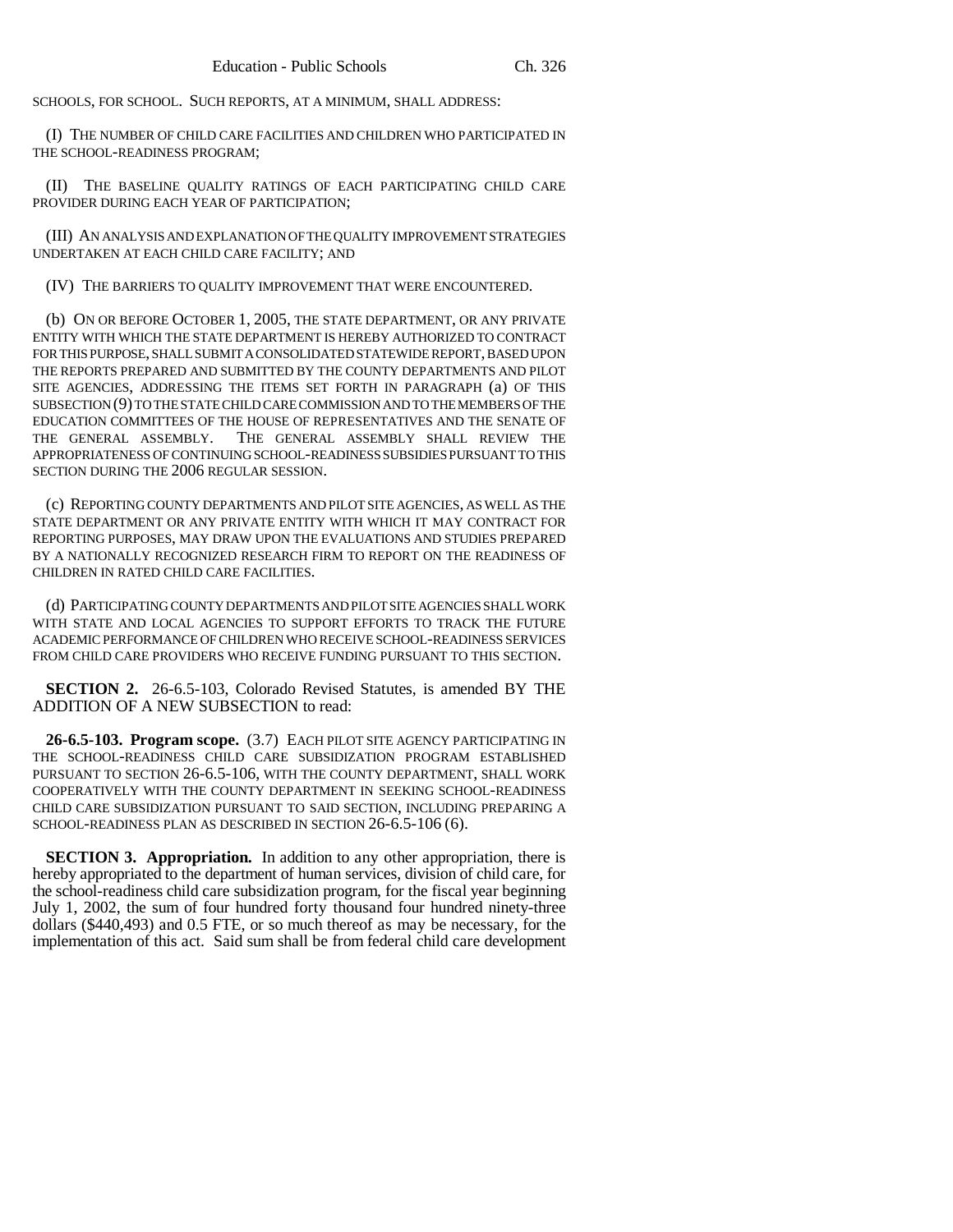SCHOOLS, FOR SCHOOL. SUCH REPORTS, AT A MINIMUM, SHALL ADDRESS:

(I) THE NUMBER OF CHILD CARE FACILITIES AND CHILDREN WHO PARTICIPATED IN THE SCHOOL-READINESS PROGRAM;

(II) THE BASELINE QUALITY RATINGS OF EACH PARTICIPATING CHILD CARE PROVIDER DURING EACH YEAR OF PARTICIPATION;

(III) AN ANALYSIS AND EXPLANATION OF THE QUALITY IMPROVEMENT STRATEGIES UNDERTAKEN AT EACH CHILD CARE FACILITY; AND

(IV) THE BARRIERS TO QUALITY IMPROVEMENT THAT WERE ENCOUNTERED.

(b) ON OR BEFORE OCTOBER 1, 2005, THE STATE DEPARTMENT, OR ANY PRIVATE ENTITY WITH WHICH THE STATE DEPARTMENT IS HEREBY AUTHORIZED TO CONTRACT FOR THIS PURPOSE, SHALL SUBMIT A CONSOLIDATED STATEWIDE REPORT, BASED UPON THE REPORTS PREPARED AND SUBMITTED BY THE COUNTY DEPARTMENTS AND PILOT SITE AGENCIES, ADDRESSING THE ITEMS SET FORTH IN PARAGRAPH (a) OF THIS SUBSECTION (9) TO THE STATE CHILD CARE COMMISSION AND TO THE MEMBERS OF THE EDUCATION COMMITTEES OF THE HOUSE OF REPRESENTATIVES AND THE SENATE OF THE GENERAL ASSEMBLY. THE GENERAL ASSEMBLY SHALL REVIEW THE APPROPRIATENESS OF CONTINUING SCHOOL-READINESS SUBSIDIES PURSUANT TO THIS SECTION DURING THE 2006 REGULAR SESSION.

(c) REPORTING COUNTY DEPARTMENTS AND PILOT SITE AGENCIES, AS WELL AS THE STATE DEPARTMENT OR ANY PRIVATE ENTITY WITH WHICH IT MAY CONTRACT FOR REPORTING PURPOSES, MAY DRAW UPON THE EVALUATIONS AND STUDIES PREPARED BY A NATIONALLY RECOGNIZED RESEARCH FIRM TO REPORT ON THE READINESS OF CHILDREN IN RATED CHILD CARE FACILITIES.

(d) PARTICIPATING COUNTY DEPARTMENTS AND PILOT SITE AGENCIES SHALL WORK WITH STATE AND LOCAL AGENCIES TO SUPPORT EFFORTS TO TRACK THE FUTURE ACADEMIC PERFORMANCE OF CHILDREN WHO RECEIVE SCHOOL-READINESS SERVICES FROM CHILD CARE PROVIDERS WHO RECEIVE FUNDING PURSUANT TO THIS SECTION.

**SECTION 2.** 26-6.5-103, Colorado Revised Statutes, is amended BY THE ADDITION OF A NEW SUBSECTION to read:

**26-6.5-103. Program scope.** (3.7) EACH PILOT SITE AGENCY PARTICIPATING IN THE SCHOOL-READINESS CHILD CARE SUBSIDIZATION PROGRAM ESTABLISHED PURSUANT TO SECTION 26-6.5-106, WITH THE COUNTY DEPARTMENT, SHALL WORK COOPERATIVELY WITH THE COUNTY DEPARTMENT IN SEEKING SCHOOL-READINESS CHILD CARE SUBSIDIZATION PURSUANT TO SAID SECTION, INCLUDING PREPARING A SCHOOL-READINESS PLAN AS DESCRIBED IN SECTION 26-6.5-106 (6).

**SECTION 3. Appropriation.** In addition to any other appropriation, there is hereby appropriated to the department of human services, division of child care, for the school-readiness child care subsidization program, for the fiscal year beginning July 1, 2002, the sum of four hundred forty thousand four hundred ninety-three dollars (\$440,493) and 0.5 FTE, or so much thereof as may be necessary, for the implementation of this act. Said sum shall be from federal child care development